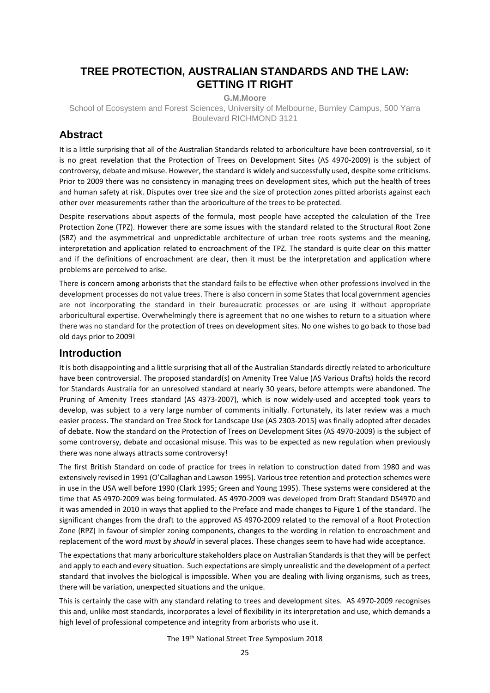# **TREE PROTECTION, AUSTRALIAN STANDARDS AND THE LAW: GETTING IT RIGHT**

**G.M.Moore**

School of Ecosystem and Forest Sciences, University of Melbourne, Burnley Campus, 500 Yarra Boulevard RICHMOND 3121

# **Abstract**

It is a little surprising that all of the Australian Standards related to arboriculture have been controversial, so it is no great revelation that the Protection of Trees on Development Sites (AS 4970-2009) is the subject of controversy, debate and misuse. However, the standard is widely and successfully used, despite some criticisms. Prior to 2009 there was no consistency in managing trees on development sites, which put the health of trees and human safety at risk. Disputes over tree size and the size of protection zones pitted arborists against each other over measurements rather than the arboriculture of the trees to be protected.

Despite reservations about aspects of the formula, most people have accepted the calculation of the Tree Protection Zone (TPZ). However there are some issues with the standard related to the Structural Root Zone (SRZ) and the asymmetrical and unpredictable architecture of urban tree roots systems and the meaning, interpretation and application related to encroachment of the TPZ. The standard is quite clear on this matter and if the definitions of encroachment are clear, then it must be the interpretation and application where problems are perceived to arise.

There is concern among arborists that the standard fails to be effective when other professions involved in the development processes do not value trees. There is also concern in some States that local government agencies are not incorporating the standard in their bureaucratic processes or are using it without appropriate arboricultural expertise. Overwhelmingly there is agreement that no one wishes to return to a situation where there was no standard for the protection of trees on development sites. No one wishes to go back to those bad old days prior to 2009!

# **Introduction**

It is both disappointing and a little surprising that all of the Australian Standards directly related to arboriculture have been controversial. The proposed standard(s) on Amenity Tree Value (AS Various Drafts) holds the record for Standards Australia for an unresolved standard at nearly 30 years, before attempts were abandoned. The Pruning of Amenity Trees standard (AS 4373-2007), which is now widely-used and accepted took years to develop, was subject to a very large number of comments initially. Fortunately, its later review was a much easier process. The standard on Tree Stock for Landscape Use (AS 2303-2015) was finally adopted after decades of debate. Now the standard on the Protection of Trees on Development Sites (AS 4970-2009) is the subject of some controversy, debate and occasional misuse. This was to be expected as new regulation when previously there was none always attracts some controversy!

The first British Standard on code of practice for trees in relation to construction dated from 1980 and was extensively revised in 1991 (O'Callaghan and Lawson 1995). Various tree retention and protection schemes were in use in the USA well before 1990 (Clark 1995; Green and Young 1995). These systems were considered at the time that AS 4970-2009 was being formulated. AS 4970-2009 was developed from Draft Standard DS4970 and it was amended in 2010 in ways that applied to the Preface and made changes to Figure 1 of the standard. The significant changes from the draft to the approved AS 4970-2009 related to the removal of a Root Protection Zone (RPZ) in favour of simpler zoning components, changes to the wording in relation to encroachment and replacement of the word *mus*t by *should* in several places. These changes seem to have had wide acceptance.

The expectations that many arboriculture stakeholders place on Australian Standards is that they will be perfect and apply to each and every situation. Such expectations are simply unrealistic and the development of a perfect standard that involves the biological is impossible. When you are dealing with living organisms, such as trees, there will be variation, unexpected situations and the unique.

This is certainly the case with any standard relating to trees and development sites. AS 4970-2009 recognises this and, unlike most standards, incorporates a level of flexibility in its interpretation and use, which demands a high level of professional competence and integrity from arborists who use it.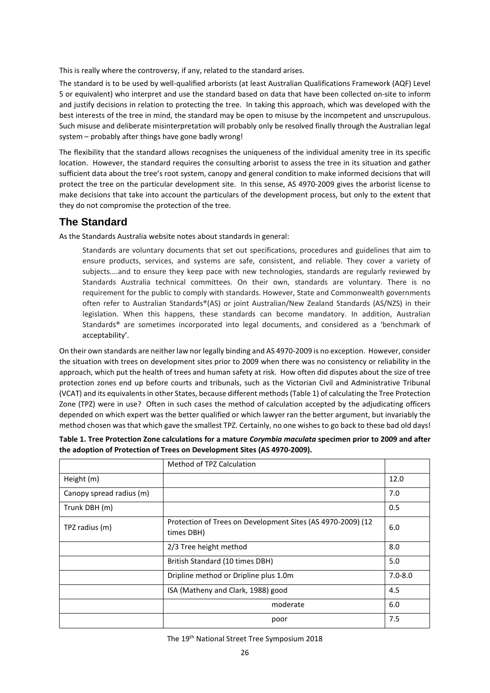This is really where the controversy, if any, related to the standard arises.

The standard is to be used by well-qualified arborists (at least Australian Qualifications Framework (AQF) Level 5 or equivalent) who interpret and use the standard based on data that have been collected on-site to inform and justify decisions in relation to protecting the tree. In taking this approach, which was developed with the best interests of the tree in mind, the standard may be open to misuse by the incompetent and unscrupulous. Such misuse and deliberate misinterpretation will probably only be resolved finally through the Australian legal system – probably after things have gone badly wrong!

The flexibility that the standard allows recognises the uniqueness of the individual amenity tree in its specific location. However, the standard requires the consulting arborist to assess the tree in its situation and gather sufficient data about the tree's root system, canopy and general condition to make informed decisions that will protect the tree on the particular development site. In this sense, AS 4970-2009 gives the arborist license to make decisions that take into account the particulars of the development process, but only to the extent that they do not compromise the protection of the tree.

### **The Standard**

As the Standards Australia website notes about standards in general:

Standards are voluntary documents that set out specifications, procedures and guidelines that aim to ensure products, services, and systems are safe, consistent, and reliable. They cover a variety of subjects....and to ensure they keep pace with new technologies, standards are regularly reviewed by Standards Australia technical committees. On their own, standards are voluntary. There is no requirement for the public to comply with standards. However, State and Commonwealth governments often refer to Australian Standards®(AS) or joint Australian/New Zealand Standards (AS/NZS) in their legislation. When this happens, these standards can become mandatory. In addition, Australian Standards® are sometimes incorporated into legal documents, and considered as a 'benchmark of acceptability'.

On their own standards are neither law nor legally binding and AS 4970-2009 is no exception. However, consider the situation with trees on development sites prior to 2009 when there was no consistency or reliability in the approach, which put the health of trees and human safety at risk. How often did disputes about the size of tree protection zones end up before courts and tribunals, such as the Victorian Civil and Administrative Tribunal (VCAT) and its equivalents in other States, because different methods (Table 1) of calculating the Tree Protection Zone (TPZ) were in use? Often in such cases the method of calculation accepted by the adjudicating officers depended on which expert was the better qualified or which lawyer ran the better argument, but invariably the method chosen was that which gave the smallest TPZ. Certainly, no one wishes to go back to these bad old days!

|                          | Method of TPZ Calculation                                                 |      |
|--------------------------|---------------------------------------------------------------------------|------|
| Height (m)               |                                                                           | 12.0 |
| Canopy spread radius (m) |                                                                           | 7.0  |
| Trunk DBH (m)            |                                                                           | 0.5  |
| TPZ radius (m)           | Protection of Trees on Development Sites (AS 4970-2009) (12<br>times DBH) |      |
|                          | 2/3 Tree height method                                                    | 8.0  |
|                          | British Standard (10 times DBH)                                           |      |
|                          | Dripline method or Dripline plus 1.0m                                     |      |
|                          | ISA (Matheny and Clark, 1988) good                                        | 4.5  |
|                          | moderate                                                                  | 6.0  |
|                          | poor                                                                      | 7.5  |

| Table 1. Tree Protection Zone calculations for a mature <i>Corymbia maculata</i> specimen prior to 2009 and after |
|-------------------------------------------------------------------------------------------------------------------|
| the adoption of Protection of Trees on Development Sites (AS 4970-2009).                                          |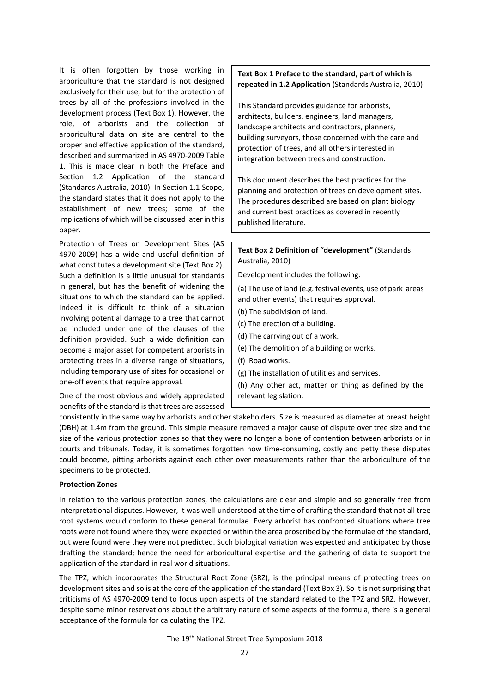It is often forgotten by those working in arboriculture that the standard is not designed exclusively for their use, but for the protection of trees by all of the professions involved in the development process (Text Box 1). However, the role, of arborists and the collection of arboricultural data on site are central to the proper and effective application of the standard, described and summarized in AS 4970-2009 Table 1. This is made clear in both the Preface and Section 1.2 Application of the standard (Standards Australia, 2010). In Section 1.1 Scope, the standard states that it does not apply to the establishment of new trees; some of the implications of which will be discussed later in this paper.

Protection of Trees on Development Sites (AS 4970-2009) has a wide and useful definition of what constitutes a development site (Text Box 2). Such a definition is a little unusual for standards in general, but has the benefit of widening the situations to which the standard can be applied. Indeed it is difficult to think of a situation involving potential damage to a tree that cannot be included under one of the clauses of the definition provided. Such a wide definition can become a major asset for competent arborists in protecting trees in a diverse range of situations, including temporary use of sites for occasional or one-off events that require approval.

One of the most obvious and widely appreciated benefits of the standard is that trees are assessed **Text Box 1 Preface to the standard, part of which is repeated in 1.2 Application** (Standards Australia, 2010)

This Standard provides guidance for arborists, architects, builders, engineers, land managers, landscape architects and contractors, planners, building surveyors, those concerned with the care and protection of trees, and all others interested in integration between trees and construction.

This document describes the best practices for the planning and protection of trees on development sites. The procedures described are based on plant biology and current best practices as covered in recently published literature.

**Text Box 2 Definition of "development"** (Standards Australia, 2010)

Development includes the following:

(a) The use of land (e.g. festival events, use of park areas and other events) that requires approval.

- (b) The subdivision of land.
- (c) The erection of a building.
- (d) The carrying out of a work.
- (e) The demolition of a building or works.
- (f) Road works.
- (g) The installation of utilities and services.

(h) Any other act, matter or thing as defined by the relevant legislation.

consistently in the same way by arborists and other stakeholders. Size is measured as diameter at breast height (DBH) at 1.4m from the ground. This simple measure removed a major cause of dispute over tree size and the size of the various protection zones so that they were no longer a bone of contention between arborists or in courts and tribunals. Today, it is sometimes forgotten how time-consuming, costly and petty these disputes could become, pitting arborists against each other over measurements rather than the arboriculture of the specimens to be protected.

#### **Protection Zones**

In relation to the various protection zones, the calculations are clear and simple and so generally free from interpretational disputes. However, it was well-understood at the time of drafting the standard that not all tree root systems would conform to these general formulae. Every arborist has confronted situations where tree roots were not found where they were expected or within the area proscribed by the formulae of the standard, but were found were they were not predicted. Such biological variation was expected and anticipated by those drafting the standard; hence the need for arboricultural expertise and the gathering of data to support the application of the standard in real world situations.

The TPZ, which incorporates the Structural Root Zone (SRZ), is the principal means of protecting trees on development sites and so is at the core of the application of the standard (Text Box 3). So it is not surprising that criticisms of AS 4970-2009 tend to focus upon aspects of the standard related to the TPZ and SRZ. However, despite some minor reservations about the arbitrary nature of some aspects of the formula, there is a general acceptance of the formula for calculating the TPZ.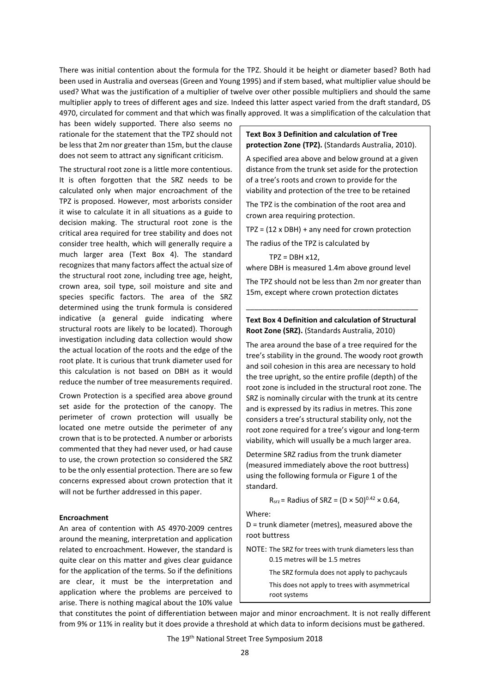There was initial contention about the formula for the TPZ. Should it be height or diameter based? Both had been used in Australia and overseas (Green and Young 1995) and if stem based, what multiplier value should be used? What was the justification of a multiplier of twelve over other possible multipliers and should the same multiplier apply to trees of different ages and size. Indeed this latter aspect varied from the draft standard, DS 4970, circulated for comment and that which was finally approved. It was a simplification of the calculation that

has been widely supported. There also seems no rationale for the statement that the TPZ should not be less that 2m nor greater than 15m, but the clause does not seem to attract any significant criticism.

The structural root zone is a little more contentious. It is often forgotten that the SRZ needs to be calculated only when major encroachment of the TPZ is proposed. However, most arborists consider it wise to calculate it in all situations as a guide to decision making. The structural root zone is the critical area required for tree stability and does not consider tree health, which will generally require a much larger area (Text Box 4). The standard recognizes that many factors affect the actual size of the structural root zone, including tree age, height, crown area, soil type, soil moisture and site and species specific factors. The area of the SRZ determined using the trunk formula is considered indicative (a general guide indicating where structural roots are likely to be located). Thorough investigation including data collection would show the actual location of the roots and the edge of the root plate. It is curious that trunk diameter used for this calculation is not based on DBH as it would reduce the number of tree measurements required.

Crown Protection is a specified area above ground set aside for the protection of the canopy. The perimeter of crown protection will usually be located one metre outside the perimeter of any crown that is to be protected. A number or arborists commented that they had never used, or had cause to use, the crown protection so considered the SRZ to be the only essential protection. There are so few concerns expressed about crown protection that it will not be further addressed in this paper.

#### **Encroachment**

An area of contention with AS 4970-2009 centres around the meaning, interpretation and application related to encroachment. However, the standard is quite clear on this matter and gives clear guidance for the application of the terms. So if the definitions are clear, it must be the interpretation and application where the problems are perceived to arise. There is nothing magical about the 10% value

#### **Text Box 3 Definition and calculation of Tree protection Zone (TPZ).** (Standards Australia, 2010).

A specified area above and below ground at a given distance from the trunk set aside for the protection of a tree's roots and crown to provide for the viability and protection of the tree to be retained

The TPZ is the combination of the root area and crown area requiring protection.

TPZ = (12 x DBH) + any need for crown protection

The radius of the TPZ is calculated by  $TPZ = DBH x12$ ,

where DBH is measured 1.4m above ground level

The TPZ should not be less than 2m nor greater than 15m, except where crown protection dictates

### **Text Box 4 Definition and calculation of Structural Root Zone (SRZ).** (Standards Australia, 2010)

\_\_\_\_\_\_\_\_\_\_\_\_\_\_\_\_\_\_\_\_\_\_\_\_\_\_\_\_\_\_\_\_\_\_\_\_\_\_\_\_\_\_

The area around the base of a tree required for the tree's stability in the ground. The woody root growth and soil cohesion in this area are necessary to hold the tree upright, so the entire profile (depth) of the root zone is included in the structural root zone. The SRZ is nominally circular with the trunk at its centre and is expressed by its radius in metres. This zone considers a tree's structural stability only, not the root zone required for a tree's vigour and long-term viability, which will usually be a much larger area.

Determine SRZ radius from the trunk diameter (measured immediately above the root buttress) using the following formula or Figure 1 of the standard.

 $R_{STZ}$  = Radius of SRZ = (D × 50)<sup>0.42</sup> × 0.64,

Where:

D = trunk diameter (metres), measured above the root buttress

NOTE: The SRZ for trees with trunk diameters less than 0.15 metres will be 1.5 metres

The SRZ formula does not apply to pachycauls

This does not apply to trees with asymmetrical root systems

that constitutes the point of differentiation between major and minor encroachment. It is not really different from 9% or 11% in reality but it does provide a threshold at which data to inform decisions must be gathered.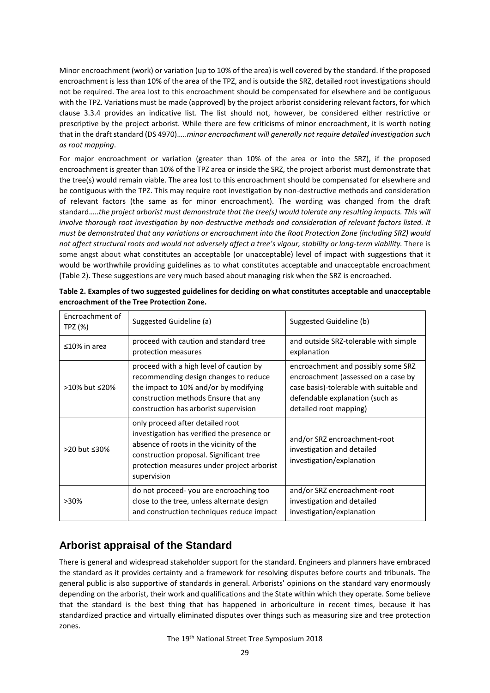Minor encroachment (work) or variation (up to 10% of the area) is well covered by the standard. If the proposed encroachment is less than 10% of the area of the TPZ, and is outside the SRZ, detailed root investigations should not be required. The area lost to this encroachment should be compensated for elsewhere and be contiguous with the TPZ. Variations must be made (approved) by the project arborist considering relevant factors, for which clause 3.3.4 provides an indicative list. The list should not, however, be considered either restrictive or prescriptive by the project arborist. While there are few criticisms of minor encroachment, it is worth noting that in the draft standard (DS 4970)…..*minor encroachment will generally not require detailed investigation such as root mapping*.

For major encroachment or variation (greater than 10% of the area or into the SRZ), if the proposed encroachment is greater than 10% of the TPZ area or inside the SRZ, the project arborist must demonstrate that the tree(s) would remain viable. The area lost to this encroachment should be compensated for elsewhere and be contiguous with the TPZ. This may require root investigation by non-destructive methods and consideration of relevant factors (the same as for minor encroachment). The wording was changed from the draft standard…..*the project arborist must demonstrate that the tree(s) would tolerate any resulting impacts. This will involve thorough root investigation by non-destructive methods and consideration of relevant factors listed. It must be demonstrated that any variations or encroachment into the Root Protection Zone (including SRZ) would not affect structural roots and would not adversely affect a tree's vigour, stability or long-term viability.* There is some angst about what constitutes an acceptable (or unacceptable) level of impact with suggestions that it would be worthwhile providing guidelines as to what constitutes acceptable and unacceptable encroachment (Table 2). These suggestions are very much based about managing risk when the SRZ is encroached.

| Encroachment of<br>TPZ (%) | Suggested Guideline (a)                                                                                                                                                                                                           | Suggested Guideline (b)                                                                                                                                                           |
|----------------------------|-----------------------------------------------------------------------------------------------------------------------------------------------------------------------------------------------------------------------------------|-----------------------------------------------------------------------------------------------------------------------------------------------------------------------------------|
| $\leq$ 10% in area         | proceed with caution and standard tree<br>protection measures                                                                                                                                                                     | and outside SRZ-tolerable with simple<br>explanation                                                                                                                              |
| >10% but ≤20%              | proceed with a high level of caution by<br>recommending design changes to reduce<br>the impact to 10% and/or by modifying<br>construction methods Ensure that any<br>construction has arborist supervision                        | encroachment and possibly some SRZ<br>encroachment (assessed on a case by<br>case basis)-tolerable with suitable and<br>defendable explanation (such as<br>detailed root mapping) |
| >20 but ≤30%               | only proceed after detailed root<br>investigation has verified the presence or<br>absence of roots in the vicinity of the<br>construction proposal. Significant tree<br>protection measures under project arborist<br>supervision | and/or SRZ encroachment-root<br>investigation and detailed<br>investigation/explanation                                                                                           |
| $>30\%$                    | do not proceed-you are encroaching too<br>close to the tree, unless alternate design<br>and construction techniques reduce impact                                                                                                 | and/or SRZ encroachment-root<br>investigation and detailed<br>investigation/explanation                                                                                           |

| Table 2. Examples of two suggested guidelines for deciding on what constitutes acceptable and unacceptable |
|------------------------------------------------------------------------------------------------------------|
| encroachment of the Tree Protection Zone.                                                                  |

# **Arborist appraisal of the Standard**

There is general and widespread stakeholder support for the standard. Engineers and planners have embraced the standard as it provides certainty and a framework for resolving disputes before courts and tribunals. The general public is also supportive of standards in general. Arborists' opinions on the standard vary enormously depending on the arborist, their work and qualifications and the State within which they operate. Some believe that the standard is the best thing that has happened in arboriculture in recent times, because it has standardized practice and virtually eliminated disputes over things such as measuring size and tree protection zones.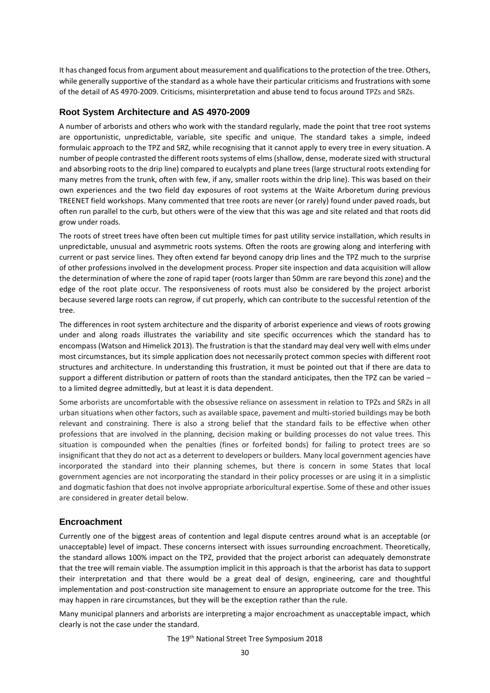It has changed focus from argument about measurement and qualifications to the protection of the tree. Others, while generally supportive of the standard as a whole have their particular criticisms and frustrations with some of the detail of AS 4970-2009. Criticisms, misinterpretation and abuse tend to focus around TPZs and SRZs.

#### **Root System Architecture and AS 4970-2009**

A number of arborists and others who work with the standard regularly, made the point that tree root systems are opportunistic, unpredictable, variable, site specific and unique. The standard takes a simple, indeed formulaic approach to the TPZ and SRZ, while recognising that it cannot apply to every tree in every situation. A number of people contrasted the different roots systems of elms (shallow, dense, moderate sized with structural and absorbing roots to the drip line) compared to eucalypts and plane trees (large structural roots extending for many metres from the trunk, often with few, if any, smaller roots within the drip line). This was based on their own experiences and the two field day exposures of root systems at the Waite Arboretum during previous TREENET field workshops. Many commented that tree roots are never (or rarely) found under paved roads, but often run parallel to the curb, but others were of the view that this was age and site related and that roots did grow under roads.

The roots of street trees have often been cut multiple times for past utility service installation, which results in unpredictable, unusual and asymmetric roots systems. Often the roots are growing along and interfering with current or past service lines. They often extend far beyond canopy drip lines and the TPZ much to the surprise of other professions involved in the development process. Proper site inspection and data acquisition will allow the determination of where the zone of rapid taper (roots larger than 50mm are rare beyond this zone) and the edge of the root plate occur. The responsiveness of roots must also be considered by the project arborist because severed large roots can regrow, if cut properly, which can contribute to the successful retention of the tree.

The differences in root system architecture and the disparity of arborist experience and views of roots growing under and along roads illustrates the variability and site specific occurrences which the standard has to encompass (Watson and Himelick 2013). The frustration is that the standard may deal very well with elms under most circumstances, but its simple application does not necessarily protect common species with different root structures and architecture. In understanding this frustration, it must be pointed out that if there are data to support a different distribution or pattern of roots than the standard anticipates, then the TPZ can be varied to a limited degree admittedly, but at least it is data dependent.

Some arborists are uncomfortable with the obsessive reliance on assessment in relation to TPZs and SRZs in all urban situations when other factors, such as available space, pavement and multi-storied buildings may be both relevant and constraining. There is also a strong belief that the standard fails to be effective when other professions that are involved in the planning, decision making or building processes do not value trees. This situation is compounded when the penalties (fines or forfeited bonds) for failing to protect trees are so insignificant that they do not act as a deterrent to developers or builders. Many local government agencies have incorporated the standard into their planning schemes, but there is concern in some States that local government agencies are not incorporating the standard in their policy processes or are using it in a simplistic and dogmatic fashion that does not involve appropriate arboricultural expertise. Some of these and other issues are considered in greater detail below.

#### **Encroachment**

Currently one of the biggest areas of contention and legal dispute centres around what is an acceptable (or unacceptable) level of impact. These concerns intersect with issues surrounding encroachment. Theoretically, the standard allows 100% impact on the TPZ, provided that the project arborist can adequately demonstrate that the tree will remain viable. The assumption implicit in this approach is that the arborist has data to support their interpretation and that there would be a great deal of design, engineering, care and thoughtful implementation and post-construction site management to ensure an appropriate outcome for the tree. This may happen in rare circumstances, but they will be the exception rather than the rule.

Many municipal planners and arborists are interpreting a major encroachment as unacceptable impact, which clearly is not the case under the standard.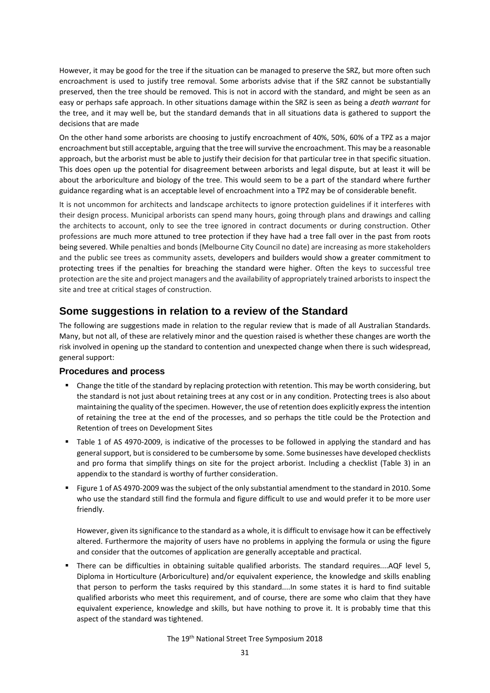However, it may be good for the tree if the situation can be managed to preserve the SRZ, but more often such encroachment is used to justify tree removal. Some arborists advise that if the SRZ cannot be substantially preserved, then the tree should be removed. This is not in accord with the standard, and might be seen as an easy or perhaps safe approach. In other situations damage within the SRZ is seen as being a *death warrant* for the tree, and it may well be, but the standard demands that in all situations data is gathered to support the decisions that are made

On the other hand some arborists are choosing to justify encroachment of 40%, 50%, 60% of a TPZ as a major encroachment but still acceptable, arguing that the tree will survive the encroachment. This may be a reasonable approach, but the arborist must be able to justify their decision for that particular tree in that specific situation. This does open up the potential for disagreement between arborists and legal dispute, but at least it will be about the arboriculture and biology of the tree. This would seem to be a part of the standard where further guidance regarding what is an acceptable level of encroachment into a TPZ may be of considerable benefit.

It is not uncommon for architects and landscape architects to ignore protection guidelines if it interferes with their design process. Municipal arborists can spend many hours, going through plans and drawings and calling the architects to account, only to see the tree ignored in contract documents or during construction. Other professions are much more attuned to tree protection if they have had a tree fall over in the past from roots being severed. While penalties and bonds (Melbourne City Council no date) are increasing as more stakeholders and the public see trees as community assets, developers and builders would show a greater commitment to protecting trees if the penalties for breaching the standard were higher. Often the keys to successful tree protection are the site and project managers and the availability of appropriately trained arborists to inspect the site and tree at critical stages of construction.

# **Some suggestions in relation to a review of the Standard**

The following are suggestions made in relation to the regular review that is made of all Australian Standards. Many, but not all, of these are relatively minor and the question raised is whether these changes are worth the risk involved in opening up the standard to contention and unexpected change when there is such widespread, general support:

### **Procedures and process**

- Change the title of the standard by replacing protection with retention. This may be worth considering, but the standard is not just about retaining trees at any cost or in any condition. Protecting trees is also about maintaining the quality of the specimen. However, the use of retention does explicitly express the intention of retaining the tree at the end of the processes, and so perhaps the title could be the Protection and Retention of trees on Development Sites
- Table 1 of AS 4970-2009, is indicative of the processes to be followed in applying the standard and has general support, but is considered to be cumbersome by some. Some businesses have developed checklists and pro forma that simplify things on site for the project arborist. Including a checklist (Table 3) in an appendix to the standard is worthy of further consideration.
- Figure 1 of AS 4970-2009 was the subject of the only substantial amendment to the standard in 2010. Some who use the standard still find the formula and figure difficult to use and would prefer it to be more user friendly.

However, given its significance to the standard as a whole, it is difficult to envisage how it can be effectively altered. Furthermore the majority of users have no problems in applying the formula or using the figure and consider that the outcomes of application are generally acceptable and practical.

There can be difficulties in obtaining suitable qualified arborists. The standard requires....AQF level 5, Diploma in Horticulture (Arboriculture) and/or equivalent experience, the knowledge and skills enabling that person to perform the tasks required by this standard....In some states it is hard to find suitable qualified arborists who meet this requirement, and of course, there are some who claim that they have equivalent experience, knowledge and skills, but have nothing to prove it. It is probably time that this aspect of the standard was tightened.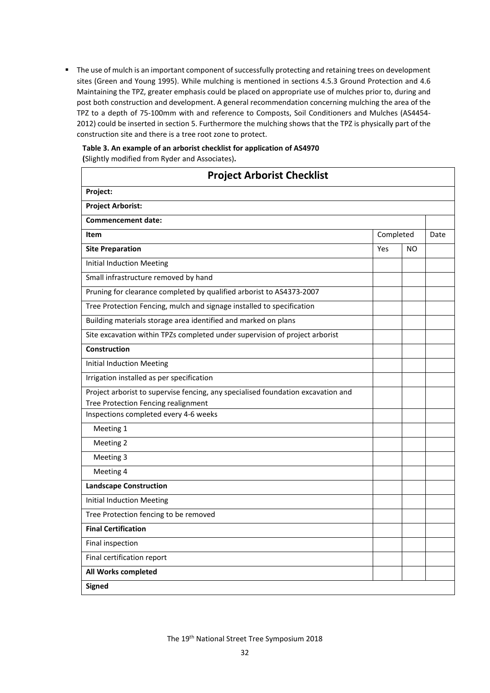**The use of mulch is an important component of successfully protecting and retaining trees on development** sites (Green and Young 1995). While mulching is mentioned in sections 4.5.3 Ground Protection and 4.6 Maintaining the TPZ, greater emphasis could be placed on appropriate use of mulches prior to, during and post both construction and development. A general recommendation concerning mulching the area of the TPZ to a depth of 75-100mm with and reference to Composts, Soil Conditioners and Mulches (AS4454- 2012) could be inserted in section 5. Furthermore the mulching shows that the TPZ is physically part of the construction site and there is a tree root zone to protect.

### **Table 3. An example of an arborist checklist for application of AS4970 (**Slightly modified from Ryder and Associates)**.**

| <b>Project Arborist Checklist</b>                                                   |           |     |      |  |
|-------------------------------------------------------------------------------------|-----------|-----|------|--|
| Project:                                                                            |           |     |      |  |
| <b>Project Arborist:</b>                                                            |           |     |      |  |
| <b>Commencement date:</b>                                                           |           |     |      |  |
| Item                                                                                | Completed |     | Date |  |
| <b>Site Preparation</b>                                                             | Yes       | NO. |      |  |
| <b>Initial Induction Meeting</b>                                                    |           |     |      |  |
| Small infrastructure removed by hand                                                |           |     |      |  |
| Pruning for clearance completed by qualified arborist to AS4373-2007                |           |     |      |  |
| Tree Protection Fencing, mulch and signage installed to specification               |           |     |      |  |
| Building materials storage area identified and marked on plans                      |           |     |      |  |
| Site excavation within TPZs completed under supervision of project arborist         |           |     |      |  |
| <b>Construction</b>                                                                 |           |     |      |  |
| <b>Initial Induction Meeting</b>                                                    |           |     |      |  |
| Irrigation installed as per specification                                           |           |     |      |  |
| Project arborist to supervise fencing, any specialised foundation excavation and    |           |     |      |  |
| <b>Tree Protection Fencing realignment</b><br>Inspections completed every 4-6 weeks |           |     |      |  |
|                                                                                     |           |     |      |  |
| Meeting 1                                                                           |           |     |      |  |
| Meeting 2                                                                           |           |     |      |  |
| Meeting 3                                                                           |           |     |      |  |
| Meeting 4                                                                           |           |     |      |  |
| <b>Landscape Construction</b>                                                       |           |     |      |  |
| <b>Initial Induction Meeting</b>                                                    |           |     |      |  |
| Tree Protection fencing to be removed                                               |           |     |      |  |
| <b>Final Certification</b>                                                          |           |     |      |  |
| Final inspection                                                                    |           |     |      |  |
| Final certification report                                                          |           |     |      |  |
| All Works completed                                                                 |           |     |      |  |
| <b>Signed</b>                                                                       |           |     |      |  |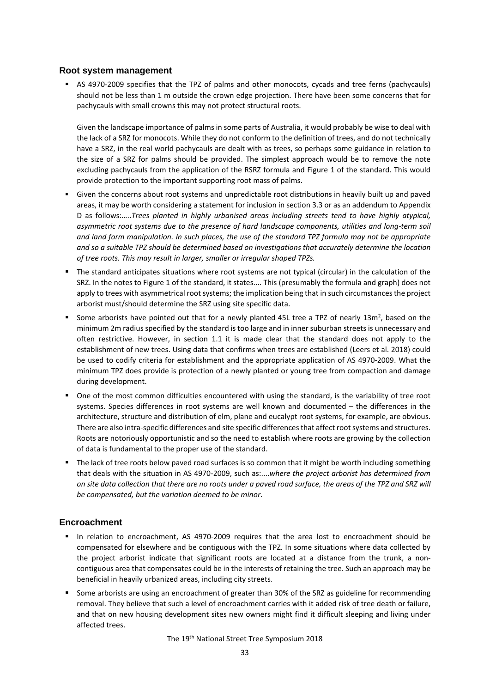### **Root system management**

AS 4970-2009 specifies that the TPZ of palms and other monocots, cycads and tree ferns (pachycauls) should not be less than 1 m outside the crown edge projection. There have been some concerns that for pachycauls with small crowns this may not protect structural roots.

Given the landscape importance of palms in some parts of Australia, it would probably be wise to deal with the lack of a SRZ for monocots. While they do not conform to the definition of trees, and do not technically have a SRZ, in the real world pachycauls are dealt with as trees, so perhaps some guidance in relation to the size of a SRZ for palms should be provided. The simplest approach would be to remove the note excluding pachycauls from the application of the RSRZ formula and Figure 1 of the standard. This would provide protection to the important supporting root mass of palms.

- Given the concerns about root systems and unpredictable root distributions in heavily built up and paved areas, it may be worth considering a statement for inclusion in section 3.3 or as an addendum to Appendix D as follows:…..*Trees planted in highly urbanised areas including streets tend to have highly atypical, asymmetric root systems due to the presence of hard landscape components, utilities and long-term soil and land form manipulation. In such places, the use of the standard TPZ formula may not be appropriate and so a suitable TPZ should be determined based on investigations that accurately determine the location of tree roots. This may result in larger, smaller or irregular shaped TPZs.*
- The standard anticipates situations where root systems are not typical (circular) in the calculation of the SRZ. In the notes to Figure 1 of the standard, it states.... This (presumably the formula and graph) does not apply to trees with asymmetrical root systems; the implication being that in such circumstances the project arborist must/should determine the SRZ using site specific data.
- Some arborists have pointed out that for a newly planted 45L tree a TPZ of nearly  $13m^2$ , based on the minimum 2m radius specified by the standard is too large and in inner suburban streets is unnecessary and often restrictive. However, in section 1.1 it is made clear that the standard does not apply to the establishment of new trees. Using data that confirms when trees are established (Leers et al. 2018) could be used to codify criteria for establishment and the appropriate application of AS 4970-2009. What the minimum TPZ does provide is protection of a newly planted or young tree from compaction and damage during development.
- One of the most common difficulties encountered with using the standard, is the variability of tree root systems. Species differences in root systems are well known and documented – the differences in the architecture, structure and distribution of elm, plane and eucalypt root systems, for example, are obvious. There are also intra-specific differences and site specific differences that affect root systems and structures. Roots are notoriously opportunistic and so the need to establish where roots are growing by the collection of data is fundamental to the proper use of the standard.
- " The lack of tree roots below paved road surfaces is so common that it might be worth including something that deals with the situation in AS 4970-2009, such as:....*where the project arborist has determined from on site data collection that there are no roots under a paved road surface, the areas of the TPZ and SRZ will be compensated, but the variation deemed to be minor*.

### **Encroachment**

- In relation to encroachment, AS 4970-2009 requires that the area lost to encroachment should be compensated for elsewhere and be contiguous with the TPZ. In some situations where data collected by the project arborist indicate that significant roots are located at a distance from the trunk, a noncontiguous area that compensates could be in the interests of retaining the tree. Such an approach may be beneficial in heavily urbanized areas, including city streets.
- Some arborists are using an encroachment of greater than 30% of the SRZ as guideline for recommending removal. They believe that such a level of encroachment carries with it added risk of tree death or failure, and that on new housing development sites new owners might find it difficult sleeping and living under affected trees.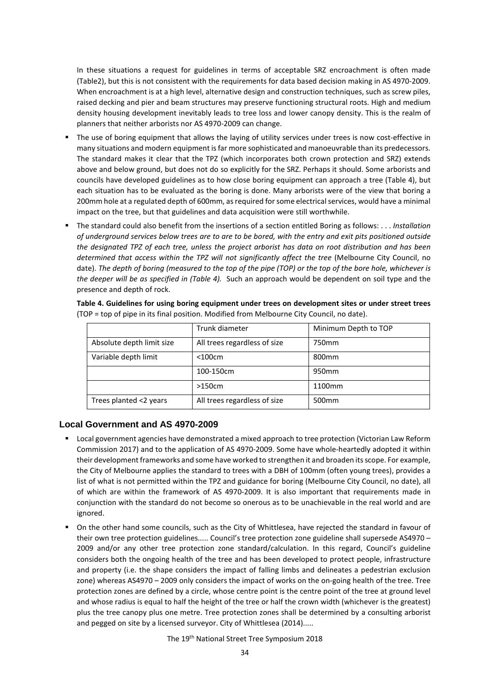In these situations a request for guidelines in terms of acceptable SRZ encroachment is often made (Table2), but this is not consistent with the requirements for data based decision making in AS 4970-2009. When encroachment is at a high level, alternative design and construction techniques, such as screw piles, raised decking and pier and beam structures may preserve functioning structural roots. High and medium density housing development inevitably leads to tree loss and lower canopy density. This is the realm of planners that neither arborists nor AS 4970-2009 can change.

- The use of boring equipment that allows the laying of utility services under trees is now cost-effective in many situations and modern equipment is far more sophisticated and manoeuvrable than its predecessors. The standard makes it clear that the TPZ (which incorporates both crown protection and SRZ) extends above and below ground, but does not do so explicitly for the SRZ. Perhaps it should. Some arborists and councils have developed guidelines as to how close boring equipment can approach a tree (Table 4), but each situation has to be evaluated as the boring is done. Many arborists were of the view that boring a 200mm hole at a regulated depth of 600mm, as required for some electrical services, would have a minimal impact on the tree, but that guidelines and data acquisition were still worthwhile.
- The standard could also benefit from the insertions of a section entitled Boring as follows: . . . *Installation of underground services below trees are to are to be bored, with the entry and exit pits positioned outside the designated TPZ of each tree, unless the project arborist has data on root distribution and has been determined that access within the TPZ will not significantly affect the tree* (Melbourne City Council, no date). *The depth of boring (measured to the top of the pipe (TOP) or the top of the bore hole, whichever is the deeper will be as specified in (Table 4).* Such an approach would be dependent on soil type and the presence and depth of rock.

|                           | Trunk diameter               | Minimum Depth to TOP |
|---------------------------|------------------------------|----------------------|
| Absolute depth limit size | All trees regardless of size | 750mm                |
| Variable depth limit      | $<$ 100 $cm$                 | 800 <sub>mm</sub>    |
|                           | 100-150cm                    | 950 <sub>mm</sub>    |
|                           | >150cm                       | 1100mm               |
| Trees planted <2 years    | All trees regardless of size | 500 <sub>mm</sub>    |

**Table 4. Guidelines for using boring equipment under trees on development sites or under street trees** (TOP = top of pipe in its final position. Modified from Melbourne City Council, no date).

### **Local Government and AS 4970-2009**

- Local government agencies have demonstrated a mixed approach to tree protection (Victorian Law Reform Commission 2017) and to the application of AS 4970-2009. Some have whole-heartedly adopted it within their development frameworks and some have worked to strengthen it and broaden its scope. For example, the City of Melbourne applies the standard to trees with a DBH of 100mm (often young trees), provides a list of what is not permitted within the TPZ and guidance for boring (Melbourne City Council, no date), all of which are within the framework of AS 4970-2009. It is also important that requirements made in conjunction with the standard do not become so onerous as to be unachievable in the real world and are ignored.
- On the other hand some councils, such as the City of Whittlesea, have rejected the standard in favour of their own tree protection guidelines..... Council's tree protection zone guideline shall supersede AS4970 – 2009 and/or any other tree protection zone standard/calculation. In this regard, Council's guideline considers both the ongoing health of the tree and has been developed to protect people, infrastructure and property (i.e. the shape considers the impact of falling limbs and delineates a pedestrian exclusion zone) whereas AS4970 – 2009 only considers the impact of works on the on-going health of the tree. Tree protection zones are defined by a circle, whose centre point is the centre point of the tree at ground level and whose radius is equal to half the height of the tree or half the crown width (whichever is the greatest) plus the tree canopy plus one metre. Tree protection zones shall be determined by a consulting arborist and pegged on site by a licensed surveyor. City of Whittlesea (2014).....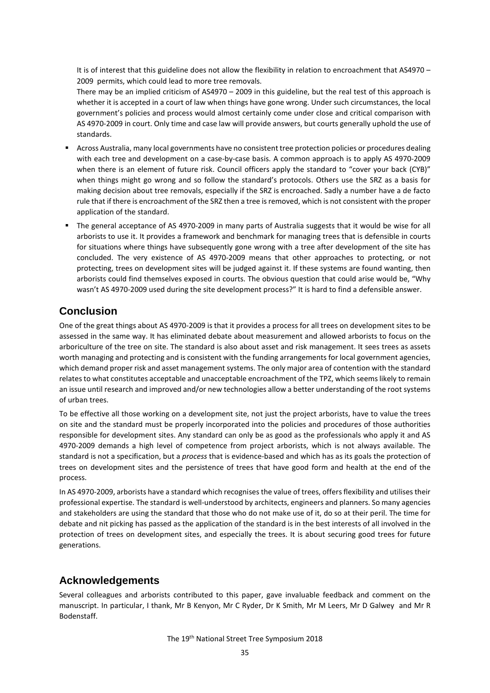It is of interest that this guideline does not allow the flexibility in relation to encroachment that AS4970 – 2009 permits, which could lead to more tree removals.

There may be an implied criticism of AS4970 – 2009 in this guideline, but the real test of this approach is whether it is accepted in a court of law when things have gone wrong. Under such circumstances, the local government's policies and process would almost certainly come under close and critical comparison with AS 4970-2009 in court. Only time and case law will provide answers, but courts generally uphold the use of standards.

- Across Australia, many local governments have no consistent tree protection policies or procedures dealing with each tree and development on a case-by-case basis. A common approach is to apply AS 4970-2009 when there is an element of future risk. Council officers apply the standard to "cover your back (CYB)" when things might go wrong and so follow the standard's protocols. Others use the SRZ as a basis for making decision about tree removals, especially if the SRZ is encroached. Sadly a number have a de facto rule that if there is encroachment of the SRZ then a tree is removed, which is not consistent with the proper application of the standard.
- The general acceptance of AS 4970-2009 in many parts of Australia suggests that it would be wise for all arborists to use it. It provides a framework and benchmark for managing trees that is defensible in courts for situations where things have subsequently gone wrong with a tree after development of the site has concluded. The very existence of AS 4970-2009 means that other approaches to protecting, or not protecting, trees on development sites will be judged against it. If these systems are found wanting, then arborists could find themselves exposed in courts. The obvious question that could arise would be, "Why wasn't AS 4970-2009 used during the site development process?" It is hard to find a defensible answer.

# **Conclusion**

One of the great things about AS 4970-2009 is that it provides a process for all trees on development sites to be assessed in the same way. It has eliminated debate about measurement and allowed arborists to focus on the arboriculture of the tree on site. The standard is also about asset and risk management. It sees trees as assets worth managing and protecting and is consistent with the funding arrangements for local government agencies, which demand proper risk and asset management systems. The only major area of contention with the standard relates to what constitutes acceptable and unacceptable encroachment of the TPZ, which seems likely to remain an issue until research and improved and/or new technologies allow a better understanding of the root systems of urban trees.

To be effective all those working on a development site, not just the project arborists, have to value the trees on site and the standard must be properly incorporated into the policies and procedures of those authorities responsible for development sites. Any standard can only be as good as the professionals who apply it and AS 4970-2009 demands a high level of competence from project arborists, which is not always available. The standard is not a specification, but a *process* that is evidence-based and which has as its goals the protection of trees on development sites and the persistence of trees that have good form and health at the end of the process.

In AS 4970-2009, arborists have a standard which recognises the value of trees, offers flexibility and utilises their professional expertise. The standard is well-understood by architects, engineers and planners. So many agencies and stakeholders are using the standard that those who do not make use of it, do so at their peril. The time for debate and nit picking has passed as the application of the standard is in the best interests of all involved in the protection of trees on development sites, and especially the trees. It is about securing good trees for future generations.

# **Acknowledgements**

Several colleagues and arborists contributed to this paper, gave invaluable feedback and comment on the manuscript. In particular, I thank, Mr B Kenyon, Mr C Ryder, Dr K Smith, Mr M Leers, Mr D Galwey and Mr R Bodenstaff.